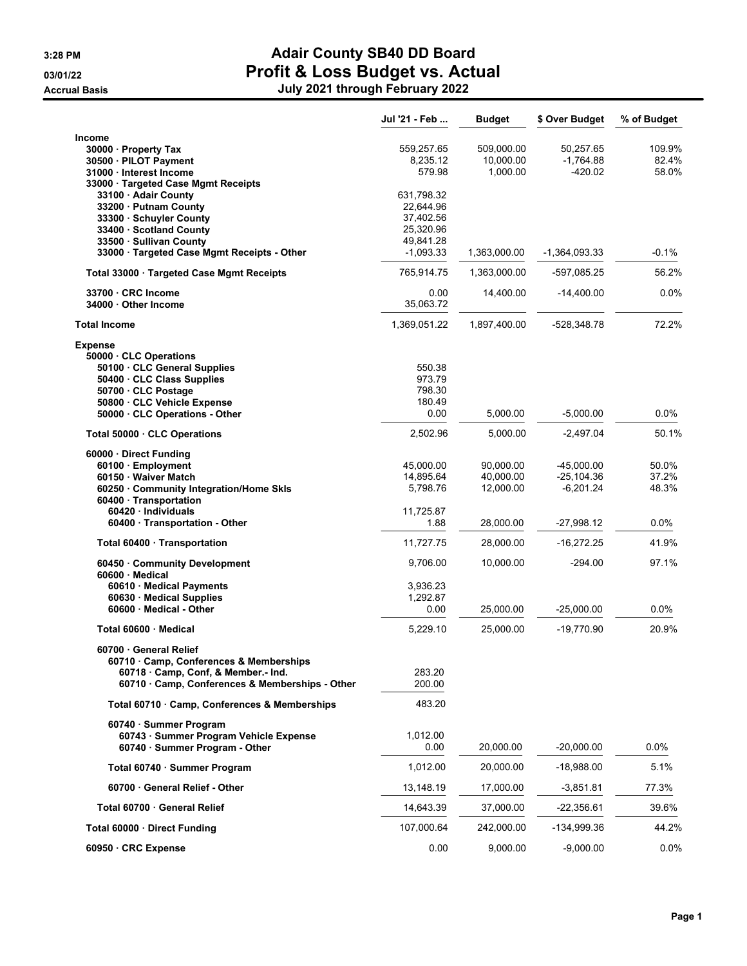|                                                                                                                                                                                                                      | Jul '21 - Feb                                                                 | <b>Budget</b>                       | \$ Over Budget                               | % of Budget              |
|----------------------------------------------------------------------------------------------------------------------------------------------------------------------------------------------------------------------|-------------------------------------------------------------------------------|-------------------------------------|----------------------------------------------|--------------------------|
| <b>Income</b><br>30000 · Property Tax<br>30500 · PILOT Payment<br>31000 · Interest Income                                                                                                                            | 559.257.65<br>8,235.12<br>579.98                                              | 509,000.00<br>10,000.00<br>1,000.00 | 50,257.65<br>$-1,764.88$<br>$-420.02$        | 109.9%<br>82.4%<br>58.0% |
| 33000 · Targeted Case Mgmt Receipts<br>33100 · Adair County<br>33200 · Putnam County<br>33300 · Schuyler County<br>33400 · Scotland County<br>33500 · Sullivan County<br>33000 · Targeted Case Mgmt Receipts - Other | 631,798.32<br>22,644.96<br>37,402.56<br>25,320.96<br>49,841.28<br>$-1,093.33$ | 1,363,000.00                        | -1,364,093.33                                | -0.1%                    |
| Total 33000 · Targeted Case Mgmt Receipts                                                                                                                                                                            | 765,914.75                                                                    | 1,363,000.00                        | -597,085.25                                  | 56.2%                    |
| 33700 · CRC Income<br>34000 Other Income                                                                                                                                                                             | 0.00<br>35,063.72                                                             | 14,400.00                           | $-14,400.00$                                 | 0.0%                     |
| <b>Total Income</b>                                                                                                                                                                                                  | 1,369,051.22                                                                  | 1,897,400.00                        | $-528,348.78$                                | 72.2%                    |
| <b>Expense</b><br>50000 CLC Operations                                                                                                                                                                               |                                                                               |                                     |                                              |                          |
| 50100 · CLC General Supplies<br>50400 · CLC Class Supplies<br>50700 CLC Postage<br>50800 · CLC Vehicle Expense                                                                                                       | 550.38<br>973.79<br>798.30<br>180.49                                          |                                     |                                              |                          |
| 50000 CLC Operations - Other                                                                                                                                                                                         | 0.00                                                                          | 5,000.00                            | $-5,000.00$                                  | $0.0\%$                  |
| Total 50000 CLC Operations                                                                                                                                                                                           | 2,502.96                                                                      | 5,000.00                            | $-2,497.04$                                  | 50.1%                    |
| 60000 · Direct Funding<br>60100 · Employment<br>60150 · Waiver Match<br>60250 · Community Integration/Home Skls<br>60400 Transportation                                                                              | 45,000.00<br>14,895.64<br>5,798.76                                            | 90,000.00<br>40,000.00<br>12,000.00 | $-45,000.00$<br>$-25, 104.36$<br>$-6,201.24$ | 50.0%<br>37.2%<br>48.3%  |
| 60420 · Individuals<br>60400 · Transportation - Other                                                                                                                                                                | 11,725.87<br>1.88                                                             | 28,000.00                           | $-27,998.12$                                 | $0.0\%$                  |
| Total 60400 · Transportation                                                                                                                                                                                         | 11,727.75                                                                     | 28,000.00                           | $-16,272.25$                                 | 41.9%                    |
| 60450 Community Development<br>$60600 \cdot$ Medical                                                                                                                                                                 | 9,706.00                                                                      | 10,000.00                           | $-294.00$                                    | 97.1%                    |
| 60610 · Medical Payments<br>60630 · Medical Supplies<br>60600 Medical - Other                                                                                                                                        | 3,936.23<br>1,292.87<br>0.00                                                  | 25,000.00                           | $-25,000.00$                                 | $0.0\%$                  |
| Total 60600 Medical                                                                                                                                                                                                  | 5,229.10                                                                      | 25,000.00                           | $-19,770.90$                                 | 20.9%                    |
| 60700 General Relief<br>60710 · Camp, Conferences & Memberships<br>60718 Camp, Conf, & Member.- Ind.<br>60710 · Camp, Conferences & Memberships - Other                                                              | 283.20<br>200.00                                                              |                                     |                                              |                          |
| Total 60710 Camp, Conferences & Memberships                                                                                                                                                                          | 483.20                                                                        |                                     |                                              |                          |
| 60740 · Summer Program<br>60743 · Summer Program Vehicle Expense<br>60740 · Summer Program - Other                                                                                                                   | 1,012.00<br>0.00                                                              | 20,000.00                           | $-20,000.00$                                 | $0.0\%$                  |
| Total 60740 · Summer Program                                                                                                                                                                                         | 1,012.00                                                                      | 20,000.00                           | -18,988.00                                   | 5.1%                     |
| 60700 General Relief - Other                                                                                                                                                                                         | 13,148.19                                                                     | 17,000.00                           | $-3,851.81$                                  | 77.3%                    |
| Total 60700 · General Relief                                                                                                                                                                                         | 14,643.39                                                                     | 37,000.00                           | $-22,356.61$                                 | 39.6%                    |
| Total 60000 Direct Funding                                                                                                                                                                                           | 107,000.64                                                                    | 242,000.00                          | -134,999.36                                  | 44.2%                    |
| 60950 CRC Expense                                                                                                                                                                                                    | 0.00                                                                          | 9,000.00                            | $-9,000.00$                                  | $0.0\%$                  |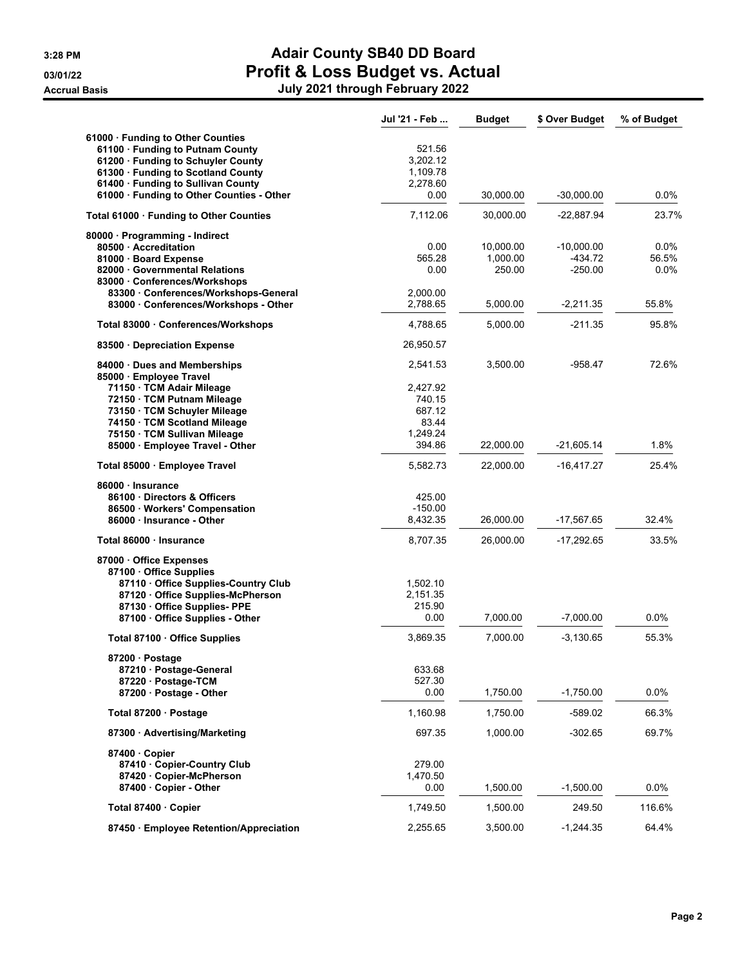|                                                               | Jul '21 - Feb        | <b>Budget</b>      | \$ Over Budget       | % of Budget      |
|---------------------------------------------------------------|----------------------|--------------------|----------------------|------------------|
| 61000 Funding to Other Counties                               |                      |                    |                      |                  |
| 61100 · Funding to Putnam County                              | 521.56               |                    |                      |                  |
| 61200 · Funding to Schuyler County                            | 3.202.12             |                    |                      |                  |
| 61300 · Funding to Scotland County                            | 1,109.78             |                    |                      |                  |
| 61400 · Funding to Sullivan County                            | 2,278.60             |                    |                      |                  |
| 61000 · Funding to Other Counties - Other                     | 0.00                 | 30,000.00          | -30,000.00           | $0.0\%$          |
| Total 61000 Funding to Other Counties                         | 7,112.06             | 30,000.00          | -22,887.94           | 23.7%            |
| 80000 · Programming - Indirect                                |                      |                    |                      |                  |
| 80500 Accreditation                                           | 0.00                 | 10,000.00          | $-10,000.00$         | 0.0%             |
| 81000 · Board Expense<br>82000 Governmental Relations         | 565.28<br>0.00       | 1,000.00<br>250.00 | -434.72<br>$-250.00$ | 56.5%<br>$0.0\%$ |
| 83000 Conferences/Workshops                                   |                      |                    |                      |                  |
| 83300 · Conferences/Workshops-General                         | 2,000.00             |                    |                      |                  |
| 83000 · Conferences/Workshops - Other                         | 2,788.65             | 5,000.00           | $-2,211.35$          | 55.8%            |
| Total 83000 Conferences/Workshops                             | 4,788.65             | 5,000.00           | $-211.35$            | 95.8%            |
| 83500 Depreciation Expense                                    | 26,950.57            |                    |                      |                  |
| 84000 Dues and Memberships                                    | 2,541.53             | 3,500.00           | $-958.47$            | 72.6%            |
| 85000 · Employee Travel                                       |                      |                    |                      |                  |
| 71150 · TCM Adair Mileage                                     | 2,427.92             |                    |                      |                  |
| 72150 · TCM Putnam Mileage                                    | 740.15               |                    |                      |                  |
| 73150 · TCM Schuyler Mileage<br>74150 · TCM Scotland Mileage  | 687.12<br>83.44      |                    |                      |                  |
| 75150 · TCM Sullivan Mileage                                  | 1,249.24             |                    |                      |                  |
| 85000 · Employee Travel - Other                               | 394.86               | 22,000.00          | -21,605.14           | 1.8%             |
| Total 85000 · Employee Travel                                 | 5,582.73             | 22,000.00          | -16,417.27           | 25.4%            |
| 86000 · Insurance                                             |                      |                    |                      |                  |
| 86100 Directors & Officers                                    | 425.00               |                    |                      |                  |
| 86500 · Workers' Compensation                                 | $-150.00$            |                    |                      |                  |
| 86000 Insurance - Other                                       | 8,432.35             | 26,000.00          | -17,567.65           | 32.4%            |
| Total 86000 Insurance                                         | 8,707.35             | 26,000.00          | $-17,292.65$         | 33.5%            |
| 87000 Office Expenses                                         |                      |                    |                      |                  |
| 87100 Office Supplies                                         |                      |                    |                      |                  |
| 87110 Office Supplies-Country Club                            | 1,502.10<br>2,151.35 |                    |                      |                  |
| 87120 Office Supplies-McPherson<br>87130 Office Supplies- PPE | 215.90               |                    |                      |                  |
| 87100 · Office Supplies - Other                               | 0.00                 | 7,000.00           | $-7,000.00$          | 0.0%             |
| Total 87100 · Office Supplies                                 | 3,869.35             | 7,000.00           | $-3,130.65$          | 55.3%            |
| 87200 · Postage                                               |                      |                    |                      |                  |
| 87210 · Postage-General                                       | 633.68               |                    |                      |                  |
| 87220 · Postage-TCM                                           | 527.30               |                    |                      |                  |
| 87200 · Postage - Other                                       | 0.00                 | 1,750.00           | $-1,750.00$          | 0.0%             |
| Total 87200 · Postage                                         | 1,160.98             | 1,750.00           | -589.02              | 66.3%            |
| 87300 Advertising/Marketing                                   | 697.35               | 1,000.00           | $-302.65$            | 69.7%            |
| 87400 Copier                                                  |                      |                    |                      |                  |
| 87410 Copier-Country Club                                     | 279.00               |                    |                      |                  |
| 87420 · Copier-McPherson                                      | 1,470.50             |                    |                      |                  |
| 87400 · Copier - Other                                        | 0.00                 | 1,500.00           | $-1,500.00$          | 0.0%             |
| Total 87400 · Copier                                          | 1,749.50             | 1,500.00           | 249.50               | 116.6%           |
| 87450 · Employee Retention/Appreciation                       | 2,255.65             | 3,500.00           | $-1,244.35$          | 64.4%            |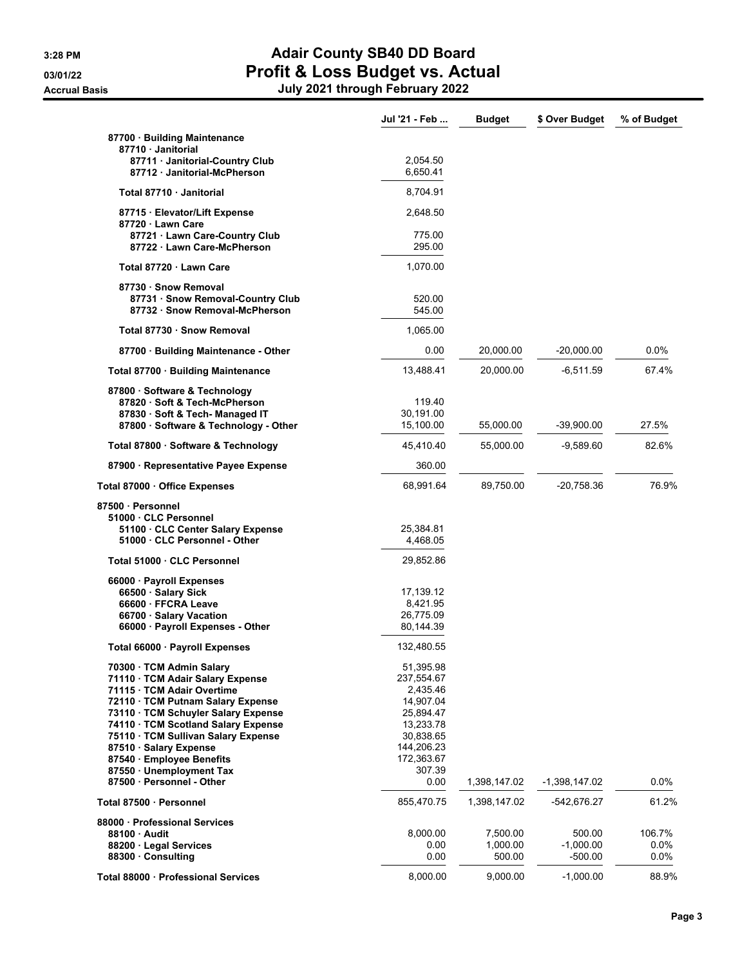|                                                    | Jul '21 - Feb | <b>Budget</b> | \$ Over Budget  | % of Budget |
|----------------------------------------------------|---------------|---------------|-----------------|-------------|
| 87700 · Building Maintenance                       |               |               |                 |             |
| 87710 Janitorial                                   |               |               |                 |             |
| 87711 · Janitorial-Country Club                    | 2.054.50      |               |                 |             |
| 87712 Janitorial-McPherson                         | 6,650.41      |               |                 |             |
| Total 87710 Janitorial                             | 8,704.91      |               |                 |             |
| 87715 · Elevator/Lift Expense<br>87720 · Lawn Care | 2,648.50      |               |                 |             |
| 87721 · Lawn Care-Country Club                     | 775.00        |               |                 |             |
| 87722 Lawn Care-McPherson                          | 295.00        |               |                 |             |
| Total 87720 Lawn Care                              | 1,070.00      |               |                 |             |
| 87730 · Snow Removal                               |               |               |                 |             |
| 87731 · Snow Removal-Country Club                  | 520.00        |               |                 |             |
| 87732 · Snow Removal-McPherson                     | 545.00        |               |                 |             |
|                                                    |               |               |                 |             |
| Total 87730 · Snow Removal                         | 1,065.00      |               |                 |             |
| 87700 · Building Maintenance - Other               | 0.00          | 20,000.00     | -20,000.00      | $0.0\%$     |
| Total 87700 · Building Maintenance                 | 13,488.41     | 20,000.00     | -6,511.59       | 67.4%       |
| 87800 · Software & Technology                      |               |               |                 |             |
| 87820 · Soft & Tech-McPherson                      | 119.40        |               |                 |             |
| 87830 · Soft & Tech- Managed IT                    | 30,191.00     |               |                 |             |
| 87800 · Software & Technology - Other              | 15,100.00     | 55,000.00     | $-39,900.00$    | 27.5%       |
| Total 87800 · Software & Technology                | 45,410.40     | 55,000.00     | -9,589.60       | 82.6%       |
| 87900 · Representative Payee Expense               | 360.00        |               |                 |             |
| Total 87000 . Office Expenses                      | 68,991.64     | 89,750.00     | -20,758.36      | 76.9%       |
| 87500 · Personnel                                  |               |               |                 |             |
| 51000 CLC Personnel                                |               |               |                 |             |
| 51100 CLC Center Salary Expense                    | 25,384.81     |               |                 |             |
| 51000 · CLC Personnel - Other                      | 4,468.05      |               |                 |             |
| Total 51000 · CLC Personnel                        | 29,852.86     |               |                 |             |
| 66000 · Payroll Expenses                           |               |               |                 |             |
| 66500 · Salary Sick                                | 17,139.12     |               |                 |             |
| 66600 · FFCRA Leave                                | 8,421.95      |               |                 |             |
| 66700 · Salary Vacation                            | 26,775.09     |               |                 |             |
| 66000 · Payroll Expenses - Other                   | 80,144.39     |               |                 |             |
|                                                    |               |               |                 |             |
| Total 66000 · Payroll Expenses                     | 132,480.55    |               |                 |             |
| 70300 · TCM Admin Salary                           | 51,395.98     |               |                 |             |
| 71110 · TCM Adair Salary Expense                   | 237,554.67    |               |                 |             |
| 71115 · TCM Adair Overtime                         | 2,435.46      |               |                 |             |
| 72110 · TCM Putnam Salary Expense                  | 14,907.04     |               |                 |             |
| 73110 · TCM Schuyler Salary Expense                | 25,894.47     |               |                 |             |
| 74110 · TCM Scotland Salary Expense                | 13,233.78     |               |                 |             |
| 75110 · TCM Sullivan Salary Expense                | 30,838.65     |               |                 |             |
| 87510 · Salary Expense                             | 144,206.23    |               |                 |             |
| 87540 · Employee Benefits                          | 172,363.67    |               |                 |             |
| 87550 · Unemployment Tax                           | 307.39        |               |                 |             |
| 87500 · Personnel - Other                          | 0.00          | 1,398,147.02  | $-1,398,147.02$ | $0.0\%$     |
| Total 87500 Personnel                              | 855,470.75    | 1,398,147.02  | -542,676.27     | 61.2%       |
| 88000 Professional Services                        |               |               |                 |             |
| 88100 Audit                                        | 8,000.00      | 7,500.00      | 500.00          | 106.7%      |
| 88200 · Legal Services                             | 0.00          | 1,000.00      | -1,000.00       | $0.0\%$     |
| 88300 · Consulting                                 | 0.00          | 500.00        | $-500.00$       | $0.0\%$     |
|                                                    |               |               |                 |             |
| Total 88000 · Professional Services                | 8,000.00      | 9,000.00      | $-1,000.00$     | 88.9%       |